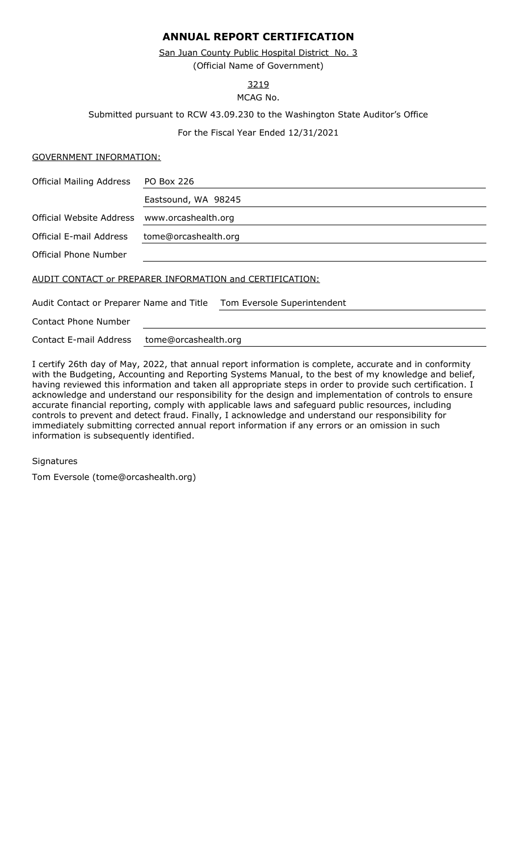# **ANNUAL REPORT CERTIFICATION**

(Official Name of Government) San Juan County Public Hospital District No. 3

3219

MCAG No.

Submitted pursuant to RCW 43.09.230 to the Washington State Auditor's Office

For the Fiscal Year Ended 12/31/2021

## GOVERNMENT INFORMATION:

| <b>Official Mailing Address</b>                          | <b>PO Box 226</b>           |  |  |  |
|----------------------------------------------------------|-----------------------------|--|--|--|
|                                                          | Eastsound, WA 98245         |  |  |  |
| <b>Official Website Address</b>                          | www.orcashealth.org         |  |  |  |
| Official E-mail Address                                  | tome@orcashealth.org        |  |  |  |
| Official Phone Number                                    |                             |  |  |  |
| AUDIT CONTACT or PREPARER INFORMATION and CERTIFICATION: |                             |  |  |  |
| Audit Contact or Preparer Name and Title                 | Tom Eversole Superintendent |  |  |  |
| <b>Contact Phone Number</b>                              |                             |  |  |  |
| Contact E-mail Address                                   | tome@orcashealth.org        |  |  |  |

I certify 26th day of May, 2022, that annual report information is complete, accurate and in conformity with the Budgeting, Accounting and Reporting Systems Manual, to the best of my knowledge and belief, having reviewed this information and taken all appropriate steps in order to provide such certification. I acknowledge and understand our responsibility for the design and implementation of controls to ensure accurate financial reporting, comply with applicable laws and safeguard public resources, including controls to prevent and detect fraud. Finally, I acknowledge and understand our responsibility for immediately submitting corrected annual report information if any errors or an omission in such information is subsequently identified.

## **Signatures**

Tom Eversole (tome@orcashealth.org)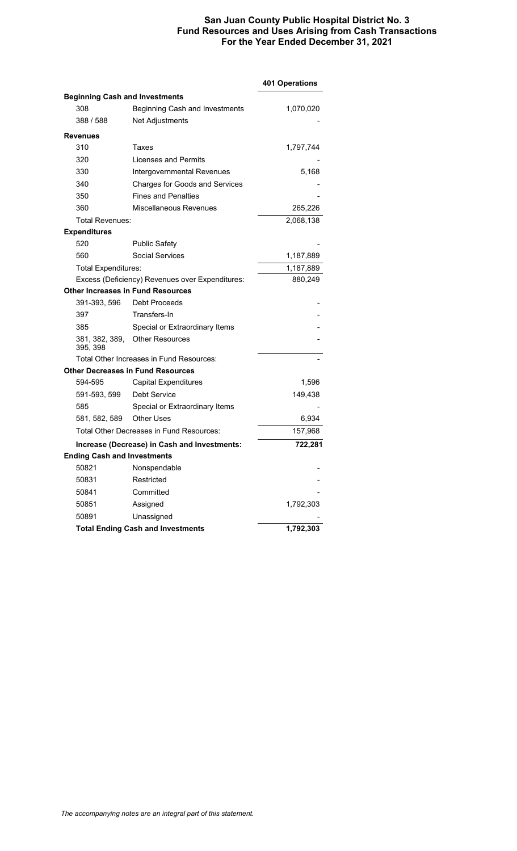## **San Juan County Public Hospital District No. 3 Fund Resources and Uses Arising from Cash Transactions For the Year Ended December 31, 2021**

|                                          |                                                 | 401 Operations |
|------------------------------------------|-------------------------------------------------|----------------|
| <b>Beginning Cash and Investments</b>    |                                                 |                |
| 308                                      | Beginning Cash and Investments                  | 1,070,020      |
| 388 / 588                                | Net Adjustments                                 |                |
| <b>Revenues</b>                          |                                                 |                |
| 310                                      | Taxes                                           | 1,797,744      |
| 320                                      | Licenses and Permits                            |                |
| 330                                      | Intergovernmental Revenues                      | 5,168          |
| 340                                      | <b>Charges for Goods and Services</b>           |                |
| 350                                      | <b>Fines and Penalties</b>                      |                |
| 360                                      | Miscellaneous Revenues                          | 265,226        |
| Total Revenues:                          |                                                 | 2,068,138      |
| <b>Expenditures</b>                      |                                                 |                |
| 520                                      | <b>Public Safety</b>                            |                |
| 560                                      | Social Services                                 | 1,187,889      |
| <b>Total Expenditures:</b>               |                                                 | 1,187,889      |
|                                          | Excess (Deficiency) Revenues over Expenditures: | 880,249        |
| <b>Other Increases in Fund Resources</b> |                                                 |                |
| 391-393, 596                             | <b>Debt Proceeds</b>                            |                |
| 397                                      | Transfers-In                                    |                |
| 385                                      | Special or Extraordinary Items                  |                |
| 381, 382, 389,<br>395, 398               | <b>Other Resources</b>                          |                |
|                                          | Total Other Increases in Fund Resources:        |                |
|                                          | <b>Other Decreases in Fund Resources</b>        |                |
| 594-595                                  | <b>Capital Expenditures</b>                     | 1,596          |
| 591-593, 599                             | Debt Service                                    | 149,438        |
| 585                                      | Special or Extraordinary Items                  |                |
| 581, 582, 589                            | <b>Other Uses</b>                               | 6,934          |
|                                          | Total Other Decreases in Fund Resources:        | 157,968        |
|                                          | Increase (Decrease) in Cash and Investments:    | 722,281        |
| <b>Ending Cash and Investments</b>       |                                                 |                |
| 50821                                    | Nonspendable                                    |                |
| 50831                                    | Restricted                                      |                |
| 50841                                    | Committed                                       |                |
| 50851                                    | Assigned                                        | 1,792,303      |
| 50891                                    | Unassigned                                      |                |
|                                          | <b>Total Ending Cash and Investments</b>        | 1,792,303      |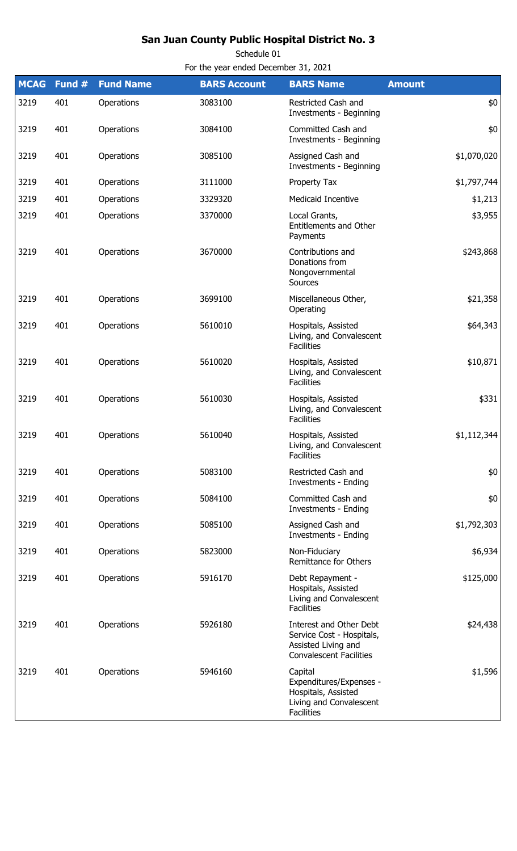# **San Juan County Public Hospital District No. 3**

Schedule 01

For the year ended December 31, 2021

| <b>MCAG</b> | Fund # | <b>Fund Name</b> | <b>BARS Account</b> | <b>BARS Name</b>                                                                                              | <b>Amount</b> |
|-------------|--------|------------------|---------------------|---------------------------------------------------------------------------------------------------------------|---------------|
| 3219        | 401    | Operations       | 3083100             | Restricted Cash and<br>Investments - Beginning                                                                | \$0           |
| 3219        | 401    | Operations       | 3084100             | Committed Cash and<br>Investments - Beginning                                                                 | \$0           |
| 3219        | 401    | Operations       | 3085100             | Assigned Cash and<br><b>Investments - Beginning</b>                                                           | \$1,070,020   |
| 3219        | 401    | Operations       | 3111000             | Property Tax                                                                                                  | \$1,797,744   |
| 3219        | 401    | Operations       | 3329320             | Medicaid Incentive                                                                                            | \$1,213       |
| 3219        | 401    | Operations       | 3370000             | Local Grants,<br><b>Entitlements and Other</b><br>Payments                                                    | \$3,955       |
| 3219        | 401    | Operations       | 3670000             | Contributions and<br>Donations from<br>Nongovernmental<br>Sources                                             | \$243,868     |
| 3219        | 401    | Operations       | 3699100             | Miscellaneous Other,<br>Operating                                                                             | \$21,358      |
| 3219        | 401    | Operations       | 5610010             | Hospitals, Assisted<br>Living, and Convalescent<br><b>Facilities</b>                                          | \$64,343      |
| 3219        | 401    | Operations       | 5610020             | Hospitals, Assisted<br>Living, and Convalescent<br><b>Facilities</b>                                          | \$10,871      |
| 3219        | 401    | Operations       | 5610030             | Hospitals, Assisted<br>Living, and Convalescent<br><b>Facilities</b>                                          | \$331         |
| 3219        | 401    | Operations       | 5610040             | Hospitals, Assisted<br>Living, and Convalescent<br><b>Facilities</b>                                          | \$1,112,344   |
| 3219        | 401    | Operations       | 5083100             | Restricted Cash and<br>Investments - Ending                                                                   | \$0           |
| 3219        | 401    | Operations       | 5084100             | Committed Cash and<br><b>Investments - Ending</b>                                                             | \$0           |
| 3219        | 401    | Operations       | 5085100             | Assigned Cash and<br><b>Investments - Ending</b>                                                              | \$1,792,303   |
| 3219        | 401    | Operations       | 5823000             | Non-Fiduciary<br><b>Remittance for Others</b>                                                                 | \$6,934       |
| 3219        | 401    | Operations       | 5916170             | Debt Repayment -<br>Hospitals, Assisted<br>Living and Convalescent<br><b>Facilities</b>                       | \$125,000     |
| 3219        | 401    | Operations       | 5926180             | Interest and Other Debt<br>Service Cost - Hospitals,<br>Assisted Living and<br><b>Convalescent Facilities</b> | \$24,438      |
| 3219        | 401    | Operations       | 5946160             | Capital<br>Expenditures/Expenses -<br>Hospitals, Assisted<br>Living and Convalescent<br><b>Facilities</b>     | \$1,596       |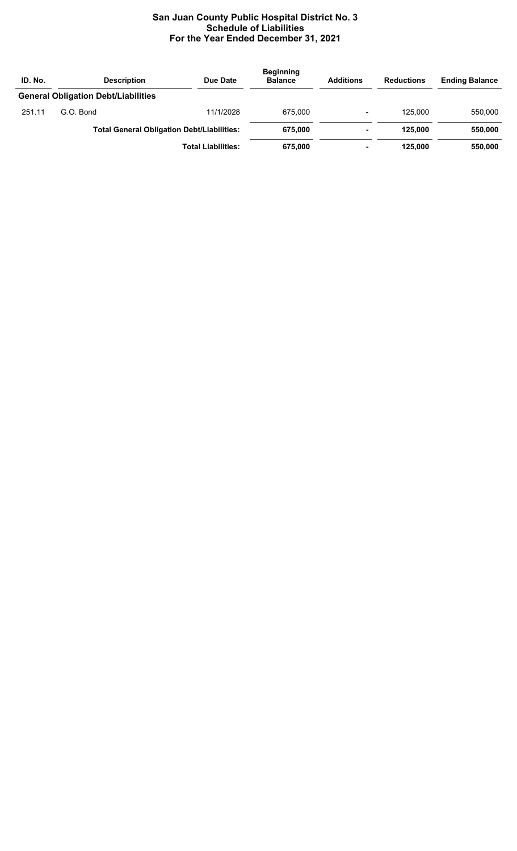# **San Juan County Public Hospital District No. 3 Schedule of Liabilities For the Year Ended December 31, 2021**

| ID. No. | <b>Description</b>                         | Due Date                                          | <b>Beginning</b><br><b>Balance</b> | <b>Additions</b> | <b>Reductions</b> | <b>Ending Balance</b> |
|---------|--------------------------------------------|---------------------------------------------------|------------------------------------|------------------|-------------------|-----------------------|
|         | <b>General Obligation Debt/Liabilities</b> |                                                   |                                    |                  |                   |                       |
| 251.11  | G.O. Bond                                  | 11/1/2028                                         | 675.000                            | $\blacksquare$   | 125.000           | 550.000               |
|         |                                            | <b>Total General Obligation Debt/Liabilities:</b> | 675.000                            | -                | 125.000           | 550,000               |
|         |                                            | <b>Total Liabilities:</b>                         | 675.000                            | -                | 125.000           | 550,000               |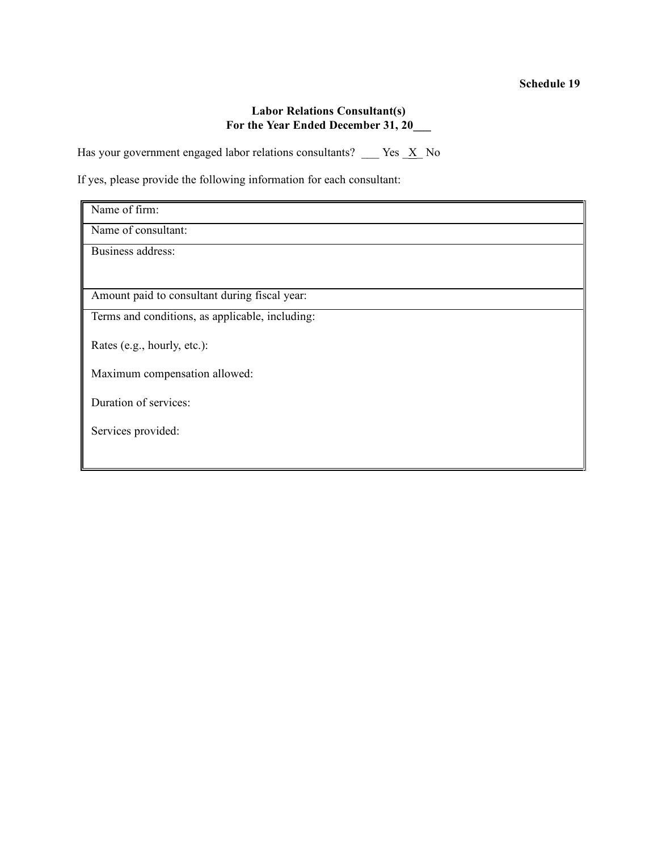### **Labor Relations Consultant(s) For the Year Ended December 31, 20\_\_\_**

Has your government engaged labor relations consultants? \_\_\_ Yes  $\underline{X}$  No

If yes, please provide the following information for each consultant:

| Name of firm:                                   |
|-------------------------------------------------|
| Name of consultant:                             |
| <b>Business address:</b>                        |
|                                                 |
| Amount paid to consultant during fiscal year:   |
| Terms and conditions, as applicable, including: |
| Rates (e.g., hourly, etc.):                     |
| Maximum compensation allowed:                   |
| Duration of services:                           |
| Services provided:                              |
|                                                 |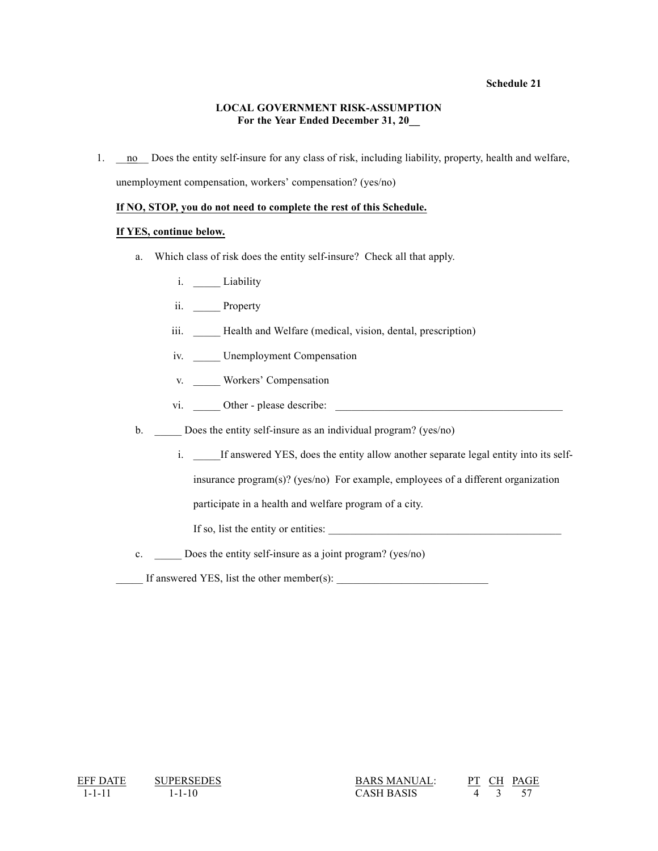#### **Schedule 21**

#### **LOCAL GOVERNMENT RISK-ASSUMPTION For the Year Ended December 31, 20\_\_**

1. \_\_\_ no \_\_\_ Does the entity self-insure for any class of risk, including liability, property, health and welfare, unemployment compensation, workers' compensation? (yes/no)

#### **If NO, STOP, you do not need to complete the rest of this Schedule.**

#### **If YES, continue below.**

- a. Which class of risk does the entity self-insure? Check all that apply.
	- i. **Liability**
	- ii. Property
	- iii. Health and Welfare (medical, vision, dental, prescription)
	- iv. Unemployment Compensation
	- v. Workers' Compensation
	- vi. \_\_\_\_\_ Other please describe: \_\_\_\_\_\_\_\_\_\_\_\_\_\_\_\_\_\_\_\_\_\_\_\_\_\_\_\_\_\_\_\_\_\_\_\_\_\_\_\_\_\_

b. Does the entity self-insure as an individual program? (yes/no)

i. \_\_\_\_\_If answered YES, does the entity allow another separate legal entity into its self-

insurance program(s)? (yes/no) For example, employees of a different organization

participate in a health and welfare program of a city.

If so, list the entity or entities:

c. \_\_\_\_\_ Does the entity self-insure as a joint program? (yes/no)

\_\_\_\_\_ If answered YES, list the other member(s): \_\_\_\_\_\_\_\_\_\_\_\_\_\_\_\_\_\_\_\_\_\_\_\_\_\_\_\_

 $\frac{\text{BARS MANUAL}}{1-1-11}$   $\frac{\text{SUPERSEDES}}{1-1-10}$   $\frac{\text{BARS MANUAL}}{\text{CASH BASS}}$   $\frac{\text{PT}}{4}$   $\frac{\text{CH}}{3}$   $\frac{\text{PAC}}{57}$